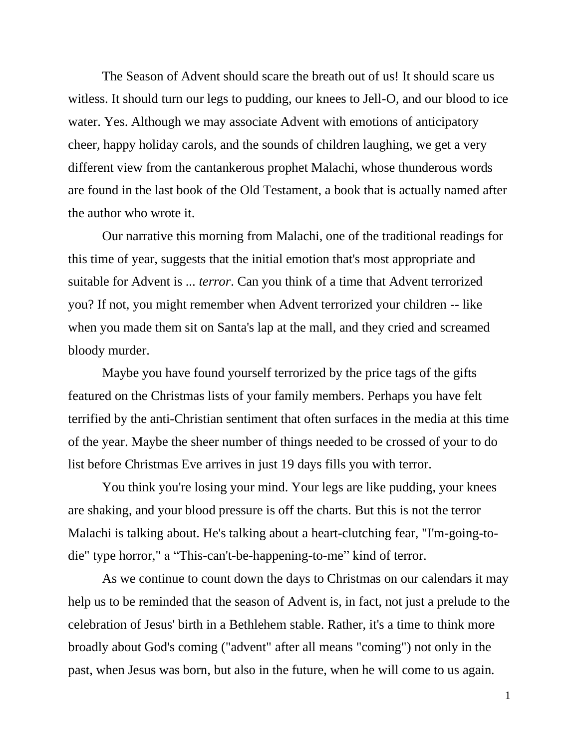The Season of Advent should scare the breath out of us! It should scare us witless. It should turn our legs to pudding, our knees to Jell-O, and our blood to ice water. Yes. Although we may associate Advent with emotions of anticipatory cheer, happy holiday carols, and the sounds of children laughing, we get a very different view from the cantankerous prophet Malachi, whose thunderous words are found in the last book of the Old Testament, a book that is actually named after the author who wrote it.

Our narrative this morning from Malachi, one of the traditional readings for this time of year, suggests that the initial emotion that's most appropriate and suitable for Advent is ... *terror*. Can you think of a time that Advent terrorized you? If not, you might remember when Advent terrorized your children -- like when you made them sit on Santa's lap at the mall, and they cried and screamed bloody murder.

Maybe you have found yourself terrorized by the price tags of the gifts featured on the Christmas lists of your family members. Perhaps you have felt terrified by the anti-Christian sentiment that often surfaces in the media at this time of the year. Maybe the sheer number of things needed to be crossed of your to do list before Christmas Eve arrives in just 19 days fills you with terror.

You think you're losing your mind. Your legs are like pudding, your knees are shaking, and your blood pressure is off the charts. But this is not the terror Malachi is talking about. He's talking about a heart-clutching fear, "I'm-going-todie" type horror," a "This-can't-be-happening-to-me" kind of terror.

As we continue to count down the days to Christmas on our calendars it may help us to be reminded that the season of Advent is, in fact, not just a prelude to the celebration of Jesus' birth in a Bethlehem stable. Rather, it's a time to think more broadly about God's coming ("advent" after all means "coming") not only in the past, when Jesus was born, but also in the future, when he will come to us again*.*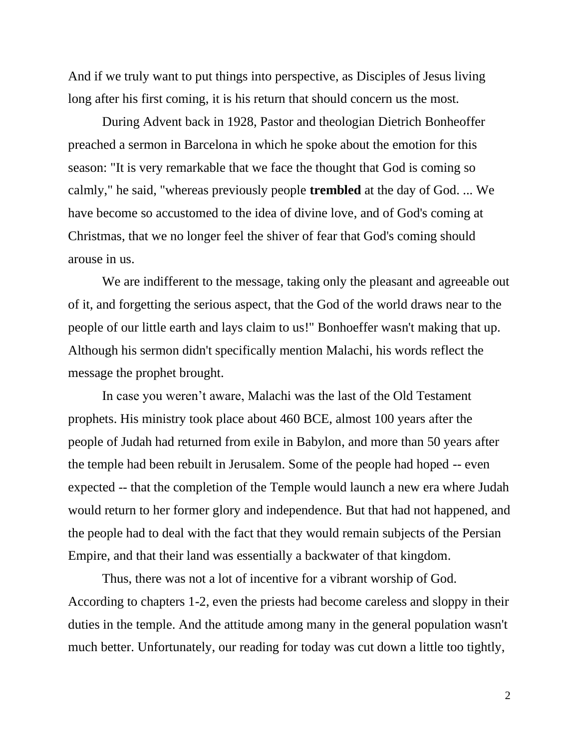And if we truly want to put things into perspective, as Disciples of Jesus living long after his first coming, it is his return that should concern us the most*.*

During Advent back in 1928, Pastor and theologian Dietrich Bonheoffer preached a sermon in Barcelona in which he spoke about the emotion for this season: "It is very remarkable that we face the thought that God is coming so calmly," he said, "whereas previously people **trembled** at the day of God. ... We have become so accustomed to the idea of divine love, and of God's coming at Christmas, that we no longer feel the shiver of fear that God's coming should arouse in us.

We are indifferent to the message, taking only the pleasant and agreeable out of it, and forgetting the serious aspect, that the God of the world draws near to the people of our little earth and lays claim to us!" Bonhoeffer wasn't making that up. Although his sermon didn't specifically mention Malachi, his words reflect the message the prophet brought.

In case you weren't aware, Malachi was the last of the Old Testament prophets. His ministry took place about 460 BCE, almost 100 years after the people of Judah had returned from exile in Babylon, and more than 50 years after the temple had been rebuilt in Jerusalem. Some of the people had hoped -- even expected -- that the completion of the Temple would launch a new era where Judah would return to her former glory and independence. But that had not happened, and the people had to deal with the fact that they would remain subjects of the Persian Empire, and that their land was essentially a backwater of that kingdom.

Thus, there was not a lot of incentive for a vibrant worship of God. According to chapters 1-2, even the priests had become careless and sloppy in their duties in the temple. And the attitude among many in the general population wasn't much better. Unfortunately, our reading for today was cut down a little too tightly,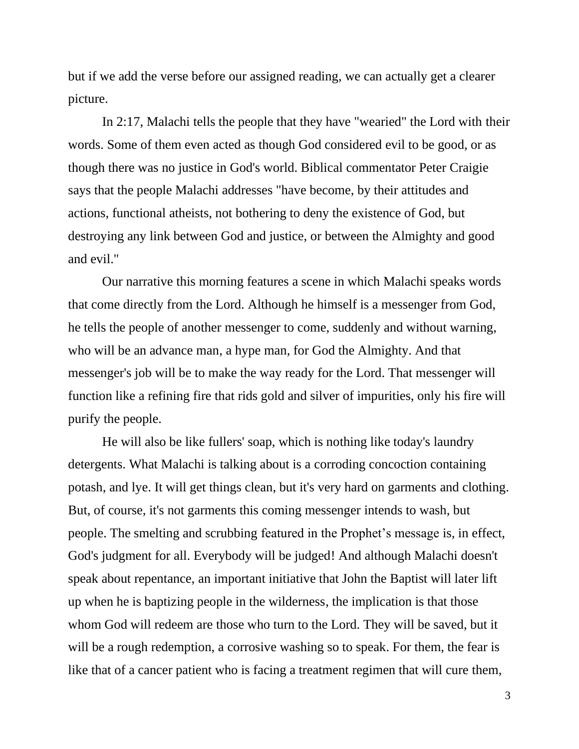but if we add the verse before our assigned reading, we can actually get a clearer picture.

In 2:17, Malachi tells the people that they have "wearied" the Lord with their words. Some of them even acted as though God considered evil to be good, or as though there was no justice in God's world. Biblical commentator Peter Craigie says that the people Malachi addresses "have become, by their attitudes and actions, functional atheists, not bothering to deny the existence of God, but destroying any link between God and justice, or between the Almighty and good and evil."

Our narrative this morning features a scene in which Malachi speaks words that come directly from the Lord. Although he himself is a messenger from God, he tells the people of another messenger to come, suddenly and without warning, who will be an advance man, a hype man, for God the Almighty. And that messenger's job will be to make the way ready for the Lord. That messenger will function like a refining fire that rids gold and silver of impurities, only his fire will purify the people*.*

He will also be like fullers' soap, which is nothing like today's laundry detergents. What Malachi is talking about is a corroding concoction containing potash, and lye. It will get things clean, but it's very hard on garments and clothing. But, of course, it's not garments this coming messenger intends to wash, but people. The smelting and scrubbing featured in the Prophet's message is, in effect, God's judgment for all. Everybody will be judged! And although Malachi doesn't speak about repentance, an important initiative that John the Baptist will later lift up when he is baptizing people in the wilderness, the implication is that those whom God will redeem are those who turn to the Lord. They will be saved, but it will be a rough redemption, a corrosive washing so to speak. For them, the fear is like that of a cancer patient who is facing a treatment regimen that will cure them,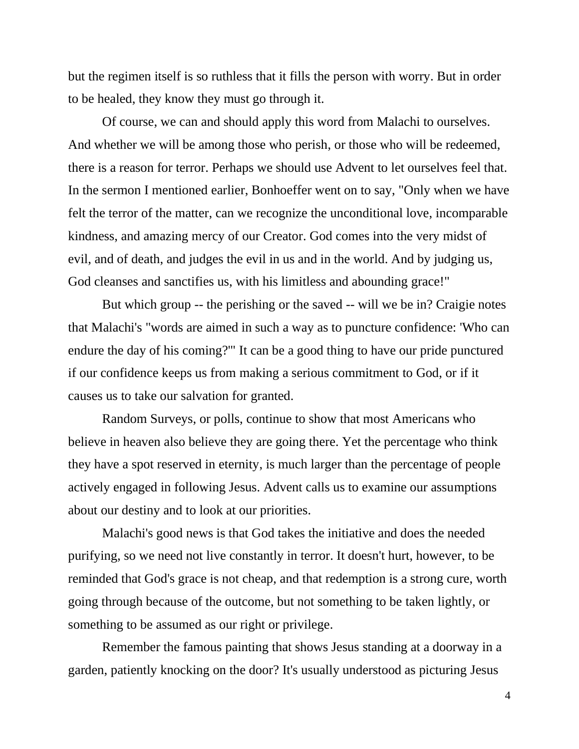but the regimen itself is so ruthless that it fills the person with worry. But in order to be healed, they know they must go through it.

Of course, we can and should apply this word from Malachi to ourselves. And whether we will be among those who perish, or those who will be redeemed, there is a reason for terror. Perhaps we should use Advent to let ourselves feel that. In the sermon I mentioned earlier, Bonhoeffer went on to say, "Only when we have felt the terror of the matter, can we recognize the unconditional love, incomparable kindness, and amazing mercy of our Creator. God comes into the very midst of evil, and of death, and judges the evil in us and in the world. And by judging us, God cleanses and sanctifies us, with his limitless and abounding grace!"

But which group -- the perishing or the saved -- will we be in? Craigie notes that Malachi's "words are aimed in such a way as to puncture confidence: 'Who can endure the day of his coming?'" It can be a good thing to have our pride punctured if our confidence keeps us from making a serious commitment to God, or if it causes us to take our salvation for granted.

Random Surveys, or polls, continue to show that most Americans who believe in heaven also believe they are going there. Yet the percentage who think they have a spot reserved in eternity, is much larger than the percentage of people actively engaged in following Jesus. Advent calls us to examine our assumptions about our destiny and to look at our priorities.

Malachi's good news is that God takes the initiative and does the needed purifying, so we need not live constantly in terror. It doesn't hurt, however, to be reminded that God's grace is not cheap, and that redemption is a strong cure, worth going through because of the outcome, but not something to be taken lightly, or something to be assumed as our right or privilege.

Remember the famous painting that shows Jesus standing at a doorway in a garden, patiently knocking on the door? It's usually understood as picturing Jesus